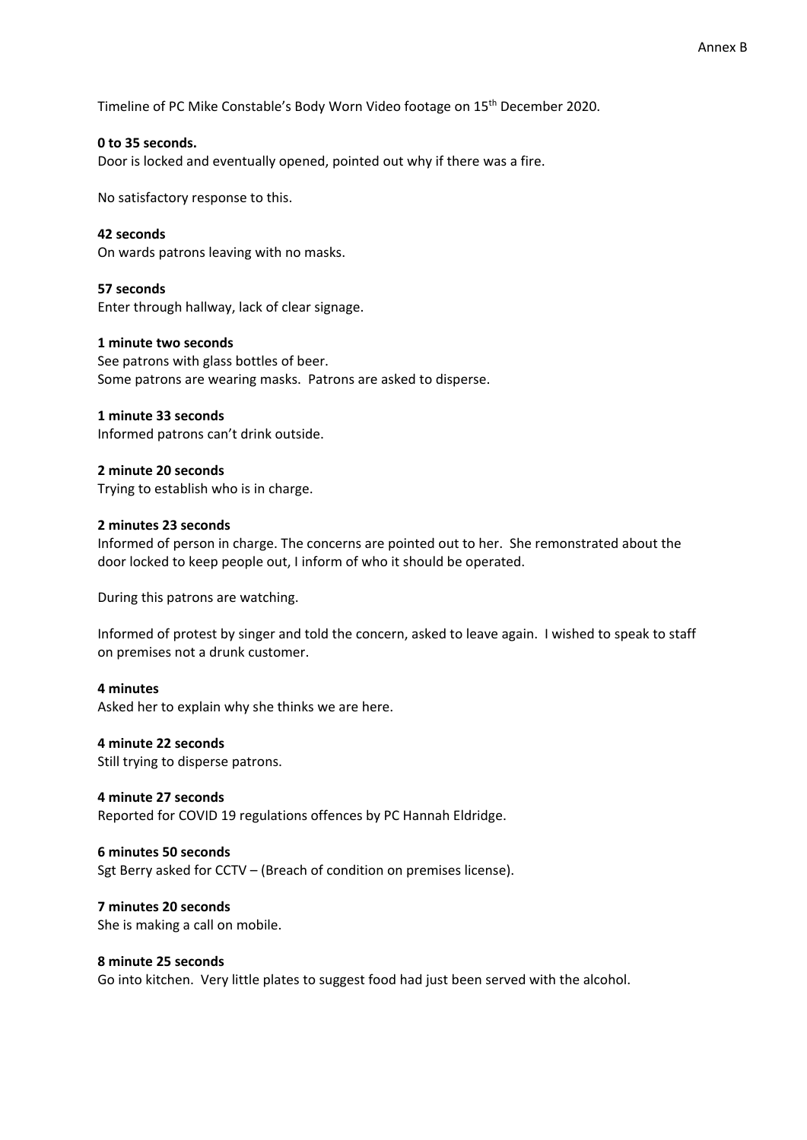Timeline of PC Mike Constable's Body Worn Video footage on 15th December 2020.

#### **0 to 35 seconds.**

Door is locked and eventually opened, pointed out why if there was a fire.

No satisfactory response to this.

**42 seconds** On wards patrons leaving with no masks.

**57 seconds** Enter through hallway, lack of clear signage.

**1 minute two seconds** See patrons with glass bottles of beer. Some patrons are wearing masks. Patrons are asked to disperse.

**1 minute 33 seconds** Informed patrons can't drink outside.

**2 minute 20 seconds** Trying to establish who is in charge.

### **2 minutes 23 seconds**

Informed of person in charge. The concerns are pointed out to her. She remonstrated about the door locked to keep people out, I inform of who it should be operated.

During this patrons are watching.

Informed of protest by singer and told the concern, asked to leave again. I wished to speak to staff on premises not a drunk customer.

#### **4 minutes**

Asked her to explain why she thinks we are here.

#### **4 minute 22 seconds**

Still trying to disperse patrons.

**4 minute 27 seconds** Reported for COVID 19 regulations offences by PC Hannah Eldridge.

**6 minutes 50 seconds** Sgt Berry asked for CCTV – (Breach of condition on premises license).

**7 minutes 20 seconds**  She is making a call on mobile.

#### **8 minute 25 seconds**

Go into kitchen. Very little plates to suggest food had just been served with the alcohol.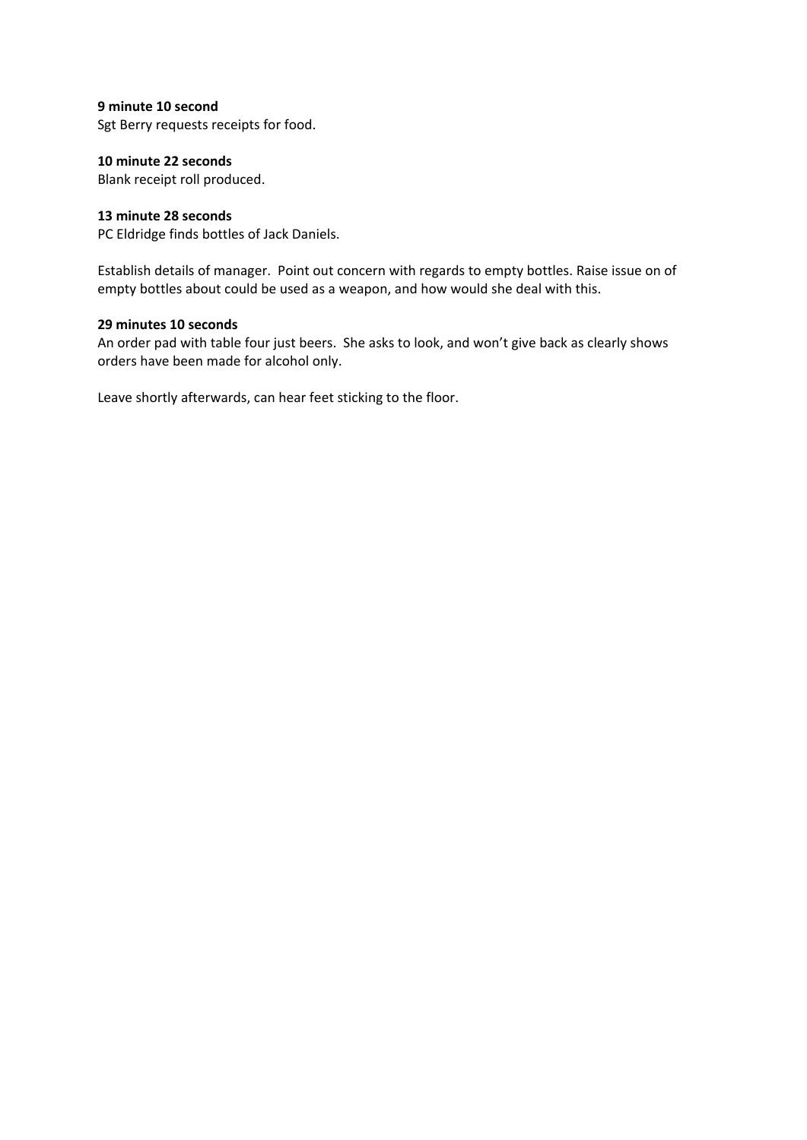**9 minute 10 second**

Sgt Berry requests receipts for food.

### **10 minute 22 seconds**

Blank receipt roll produced.

#### **13 minute 28 seconds**

PC Eldridge finds bottles of Jack Daniels.

Establish details of manager. Point out concern with regards to empty bottles. Raise issue on of empty bottles about could be used as a weapon, and how would she deal with this.

### **29 minutes 10 seconds**

An order pad with table four just beers. She asks to look, and won't give back as clearly shows orders have been made for alcohol only.

Leave shortly afterwards, can hear feet sticking to the floor.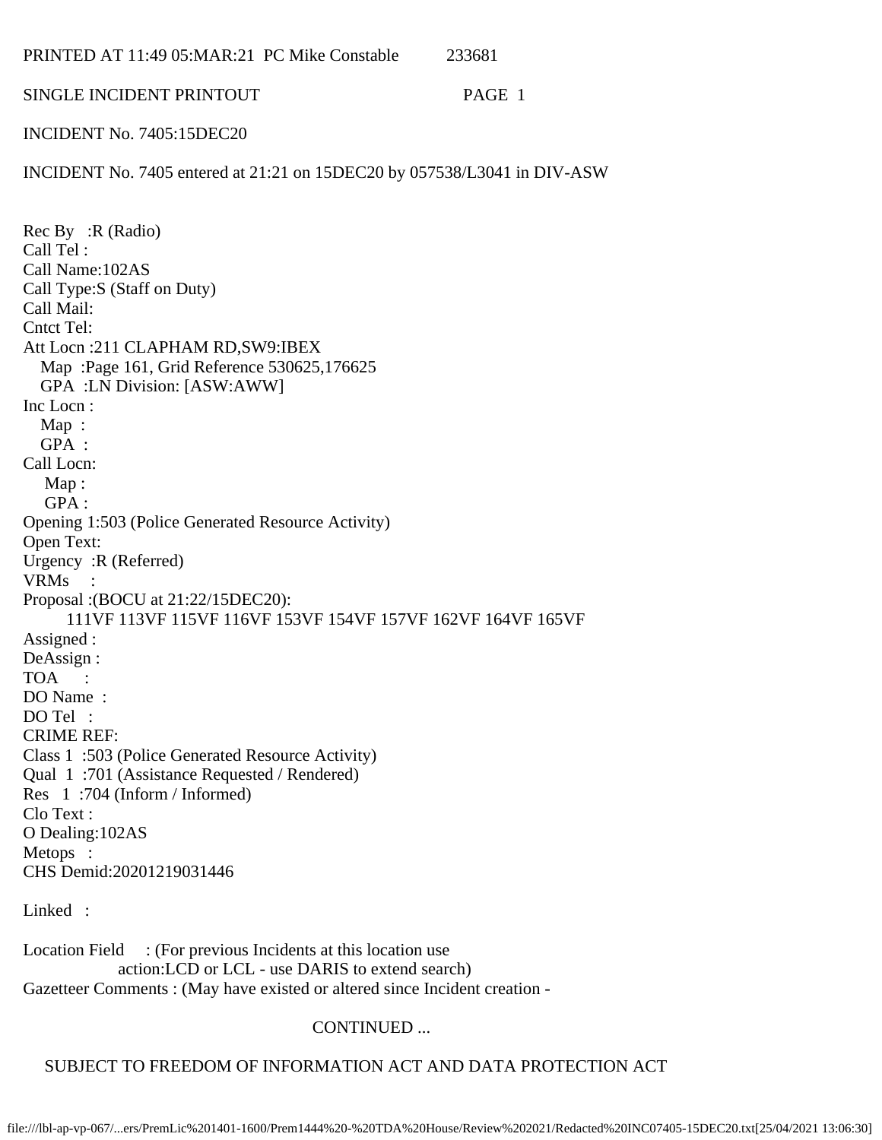| 233681<br>PRINTED AT 11:49 05:MAR:21 PC Mike Constable |
|--------------------------------------------------------|
|--------------------------------------------------------|

### SINGLE INCIDENT PRINTOUT PAGE 1

INCIDENT No. 7405:15DEC20

INCIDENT No. 7405 entered at 21:21 on 15DEC20 by 057538/L3041 in DIV-ASW

Rec By :R (Radio) Call Tel : Call Name:102AS Call Type:S (Staff on Duty) Call Mail: Cntct Tel: Att Locn :211 CLAPHAM RD,SW9:IBEX Map :Page 161, Grid Reference 530625,176625 GPA :LN Division: [ASW:AWW] Inc Locn : Map : GPA : Call Locn: Map: GPA : Opening 1:503 (Police Generated Resource Activity) Open Text: Urgency :R (Referred) VRMs : Proposal :(BOCU at 21:22/15DEC20): 111VF 113VF 115VF 116VF 153VF 154VF 157VF 162VF 164VF 165VF Assigned : DeAssign : TOA : DO Name : DO Tel : CRIME REF: Class 1 :503 (Police Generated Resource Activity) Qual 1 :701 (Assistance Requested / Rendered) Res 1 :704 (Inform / Informed) Clo Text : O Dealing:102AS Metops : CHS Demid:20201219031446

Linked :

Location Field : (For previous Incidents at this location use action:LCD or LCL - use DARIS to extend search) Gazetteer Comments : (May have existed or altered since Incident creation -

## CONTINUED ...

# SUBJECT TO FREEDOM OF INFORMATION ACT AND DATA PROTECTION ACT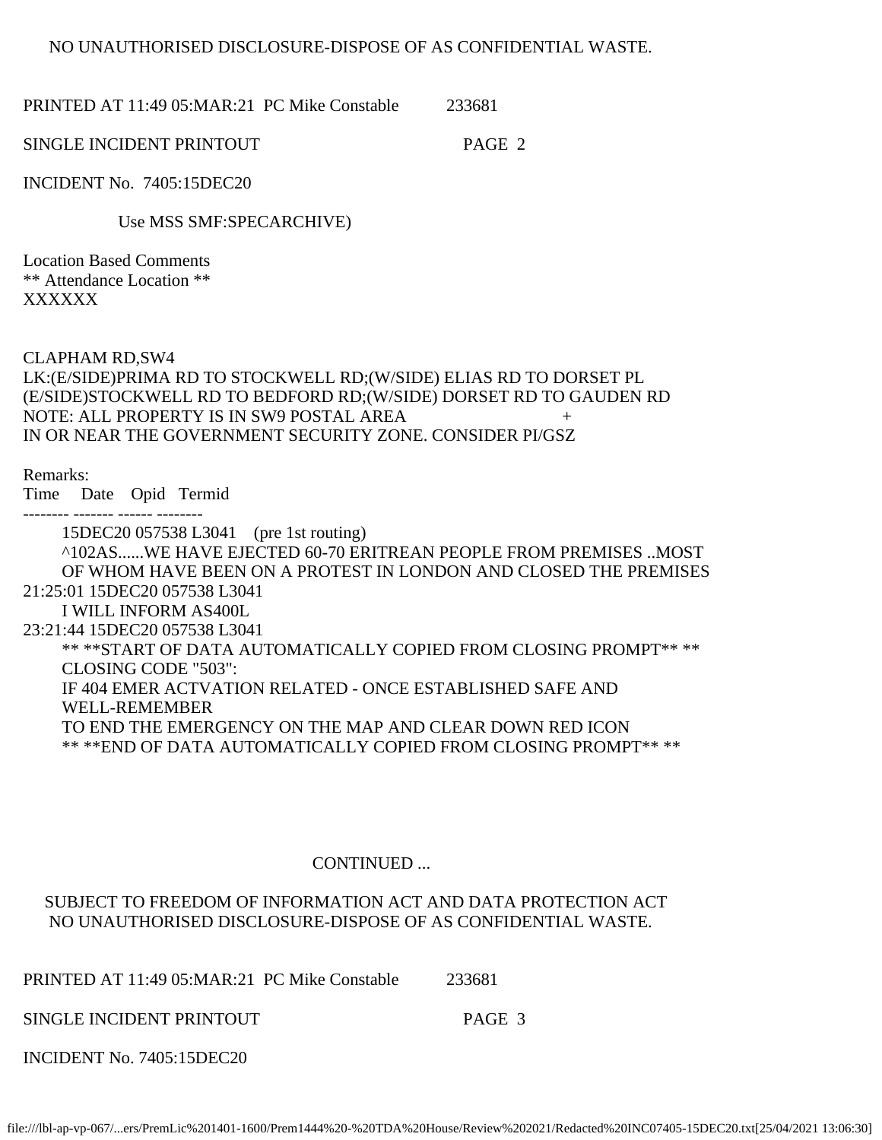## NO UNAUTHORISED DISCLOSURE-DISPOSE OF AS CONFIDENTIAL WASTE.

PRINTED AT 11:49 05:MAR:21 PC Mike Constable 233681

SINGLE INCIDENT PRINTOUT PAGE 2

INCIDENT No. 7405:15DEC20

Use MSS SMF:SPECARCHIVE)

Location Based Comments \*\* Attendance Location \*\* XXXXXX

CLAPHAM RD,SW4

LK:(E/SIDE)PRIMA RD TO STOCKWELL RD;(W/SIDE) ELIAS RD TO DORSET PL (E/SIDE)STOCKWELL RD TO BEDFORD RD;(W/SIDE) DORSET RD TO GAUDEN RD NOTE: ALL PROPERTY IS IN SW9 POSTAL AREA + IN OR NEAR THE GOVERNMENT SECURITY ZONE. CONSIDER PI/GSZ

Remarks:

Time Date Opid Termid

-------- ------- ------ --------

 15DEC20 057538 L3041 (pre 1st routing) ^102AS......WE HAVE EJECTED 60-70 ERITREAN PEOPLE FROM PREMISES ..MOST OF WHOM HAVE BEEN ON A PROTEST IN LONDON AND CLOSED THE PREMISES 21:25:01 15DEC20 057538 L3041 I WILL INFORM AS400L 23:21:44 15DEC20 057538 L3041 \*\* \*\*START OF DATA AUTOMATICALLY COPIED FROM CLOSING PROMPT\*\* \*\* CLOSING CODE "503": IF 404 EMER ACTVATION RELATED - ONCE ESTABLISHED SAFE AND WELL-REMEMBER TO END THE EMERGENCY ON THE MAP AND CLEAR DOWN RED ICON \*\* \*\*END OF DATA AUTOMATICALLY COPIED FROM CLOSING PROMPT\*\* \*\*

# CONTINUED ...

## SUBJECT TO FREEDOM OF INFORMATION ACT AND DATA PROTECTION ACT NO UNAUTHORISED DISCLOSURE-DISPOSE OF AS CONFIDENTIAL WASTE.

PRINTED AT 11:49 05:MAR:21 PC Mike Constable 233681

SINGLE INCIDENT PRINTOUT FOR PAGE 3

INCIDENT No. 7405:15DEC20